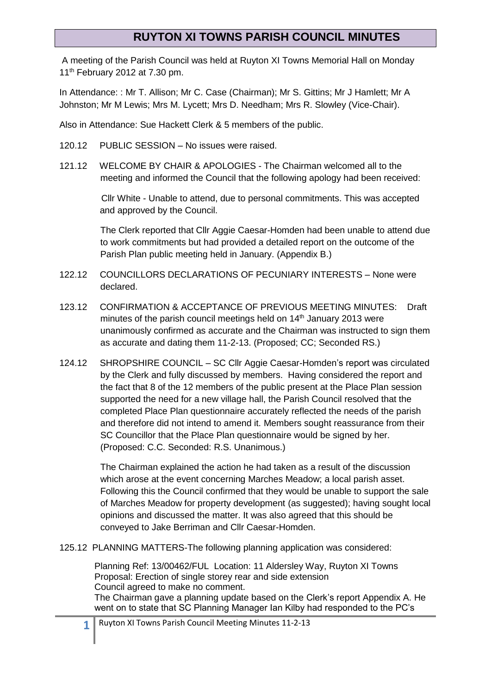## **RUYTON XI TOWNS PARISH COUNCIL MINUTES**

A meeting of the Parish Council was held at Ruyton XI Towns Memorial Hall on Monday 11<sup>th</sup> February 2012 at 7.30 pm.

In Attendance: : Mr T. Allison; Mr C. Case (Chairman); Mr S. Gittins; Mr J Hamlett; Mr A Johnston; Mr M Lewis; Mrs M. Lycett; Mrs D. Needham; Mrs R. Slowley (Vice-Chair).

Also in Attendance: Sue Hackett Clerk & 5 members of the public.

- 120.12 PUBLIC SESSION No issues were raised.
- 121.12 WELCOME BY CHAIR & APOLOGIES The Chairman welcomed all to the meeting and informed the Council that the following apology had been received:

 Cllr White - Unable to attend, due to personal commitments. This was accepted and approved by the Council.

The Clerk reported that Cllr Aggie Caesar-Homden had been unable to attend due to work commitments but had provided a detailed report on the outcome of the Parish Plan public meeting held in January. (Appendix B.)

- 122.12 COUNCILLORS DECLARATIONS OF PECUNIARY INTERESTS None were declared.
- 123.12 CONFIRMATION & ACCEPTANCE OF PREVIOUS MEETING MINUTES: Draft minutes of the parish council meetings held on  $14<sup>th</sup>$  January 2013 were unanimously confirmed as accurate and the Chairman was instructed to sign them as accurate and dating them 11-2-13. (Proposed; CC; Seconded RS.)
- 124.12 SHROPSHIRE COUNCIL SC Cllr Aggie Caesar-Homden's report was circulated by the Clerk and fully discussed by members. Having considered the report and the fact that 8 of the 12 members of the public present at the Place Plan session supported the need for a new village hall, the Parish Council resolved that the completed Place Plan questionnaire accurately reflected the needs of the parish and therefore did not intend to amend it. Members sought reassurance from their SC Councillor that the Place Plan questionnaire would be signed by her. (Proposed: C.C. Seconded: R.S. Unanimous.)

The Chairman explained the action he had taken as a result of the discussion which arose at the event concerning Marches Meadow; a local parish asset. Following this the Council confirmed that they would be unable to support the sale of Marches Meadow for property development (as suggested); having sought local opinions and discussed the matter. It was also agreed that this should be conveyed to Jake Berriman and Cllr Caesar-Homden.

125.12 PLANNING MATTERS-The following planning application was considered:

Planning Ref: 13/00462/FUL Location: 11 Aldersley Way, Ruyton XI Towns Proposal: Erection of single storey rear and side extension Council agreed to make no comment. The Chairman gave a planning update based on the Clerk's report Appendix A. He went on to state that SC Planning Manager Ian Kilby had responded to the PC's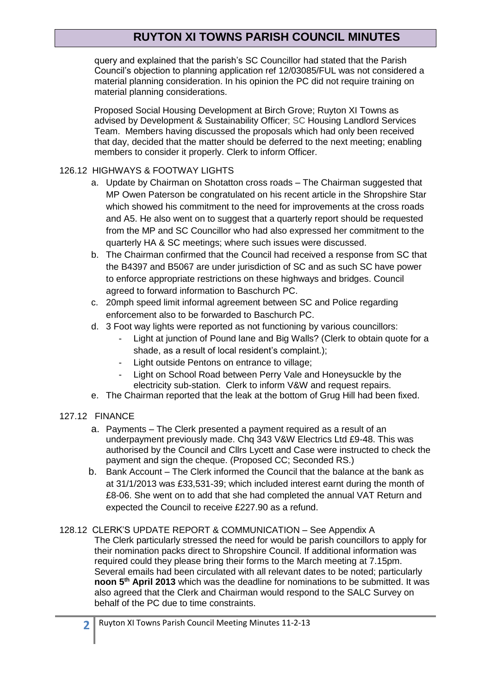# **RUYTON XI TOWNS PARISH COUNCIL MINUTES**

query and explained that the parish's SC Councillor had stated that the Parish Council's objection to planning application ref 12/03085/FUL was not considered a material planning consideration. In his opinion the PC did not require training on material planning considerations.

 Proposed Social Housing Development at Birch Grove; Ruyton XI Towns as advised by Development & Sustainability Officer; SC Housing Landlord Services Team. Members having discussed the proposals which had only been received that day, decided that the matter should be deferred to the next meeting; enabling members to consider it properly. Clerk to inform Officer.

### 126.12 HIGHWAYS & FOOTWAY LIGHTS

- a. Update by Chairman on Shotatton cross roads The Chairman suggested that MP Owen Paterson be congratulated on his recent article in the Shropshire Star which showed his commitment to the need for improvements at the cross roads and A5. He also went on to suggest that a quarterly report should be requested from the MP and SC Councillor who had also expressed her commitment to the quarterly HA & SC meetings; where such issues were discussed.
- b. The Chairman confirmed that the Council had received a response from SC that the B4397 and B5067 are under jurisdiction of SC and as such SC have power to enforce appropriate restrictions on these highways and bridges. Council agreed to forward information to Baschurch PC.
- c. 20mph speed limit informal agreement between SC and Police regarding enforcement also to be forwarded to Baschurch PC.
- d. 3 Foot way lights were reported as not functioning by various councillors:
	- Light at junction of Pound lane and Big Walls? (Clerk to obtain quote for a shade, as a result of local resident's complaint.);
	- Light outside Pentons on entrance to village;
	- Light on School Road between Perry Vale and Honeysuckle by the electricity sub-station. Clerk to inform V&W and request repairs.
- e. The Chairman reported that the leak at the bottom of Grug Hill had been fixed.

#### 127.12 FINANCE

- a. Payments The Clerk presented a payment required as a result of an underpayment previously made. Chq 343 V&W Electrics Ltd £9-48. This was authorised by the Council and Cllrs Lycett and Case were instructed to check the payment and sign the cheque. (Proposed CC; Seconded RS.)
- b. Bank Account The Clerk informed the Council that the balance at the bank as at 31/1/2013 was £33,531-39; which included interest earnt during the month of £8-06. She went on to add that she had completed the annual VAT Return and expected the Council to receive £227.90 as a refund.
- 128.12 CLERK'S UPDATE REPORT & COMMUNICATION See Appendix A The Clerk particularly stressed the need for would be parish councillors to apply for their nomination packs direct to Shropshire Council. If additional information was required could they please bring their forms to the March meeting at 7.15pm. Several emails had been circulated with all relevant dates to be noted; particularly **noon 5th April 2013** which was the deadline for nominations to be submitted. It was also agreed that the Clerk and Chairman would respond to the SALC Survey on behalf of the PC due to time constraints.